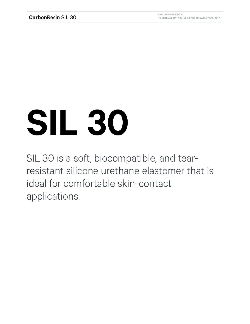## **SIL 30**

SIL 30 is a soft, biocompatible, and tearresistant silicone urethane elastomer that is ideal for comfortable skin-contact applications.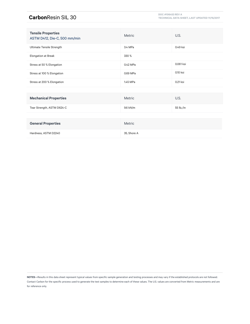## **Carbon**Resin SIL 30 **DOC #106453 REV A DOC #106453 REV A DOC #106453 REV A**

**TECHNICAL DATA SHEET, LAST UPDATED 11/15/2017**

| <b>Tensile Properties</b><br>ASTM D412, Die-C, 500 mm/min | Metric      | U.S.          |
|-----------------------------------------------------------|-------------|---------------|
| Ultimate Tensile Strength                                 | 3.4 MPa     | 0.49 ksi      |
| <b>Elongation at Break</b>                                | 330 %       |               |
| Stress at 50 % Elongation                                 | 0.42 MPa    | 0.061 ksi     |
| Stress at 100 % Elongation                                | 0.69 MPa    | 0.10 ksi      |
| Stress at 200 % Elongation                                | 1.45 MPa    | 0.21 ksi      |
|                                                           |             |               |
| <b>Mechanical Properties</b>                              | Metric      | U.S.          |
| Tear Strength, ASTM D624-C                                | 9.6 kN/m    | 55 $Ib_f$ /in |
|                                                           |             |               |
| <b>General Properties</b>                                 | Metric      |               |
| Hardness, ASTM D2240                                      | 35, Shore A |               |

**NOTES—**Results in this data sheet represent typical values from specific sample generation and testing processes and may vary if the established protocols are not followed. Contact Carbon for the specific process used to generate the test samples to determine each of these values. The U.S. values are converted from Metric measurements and are for reference only.